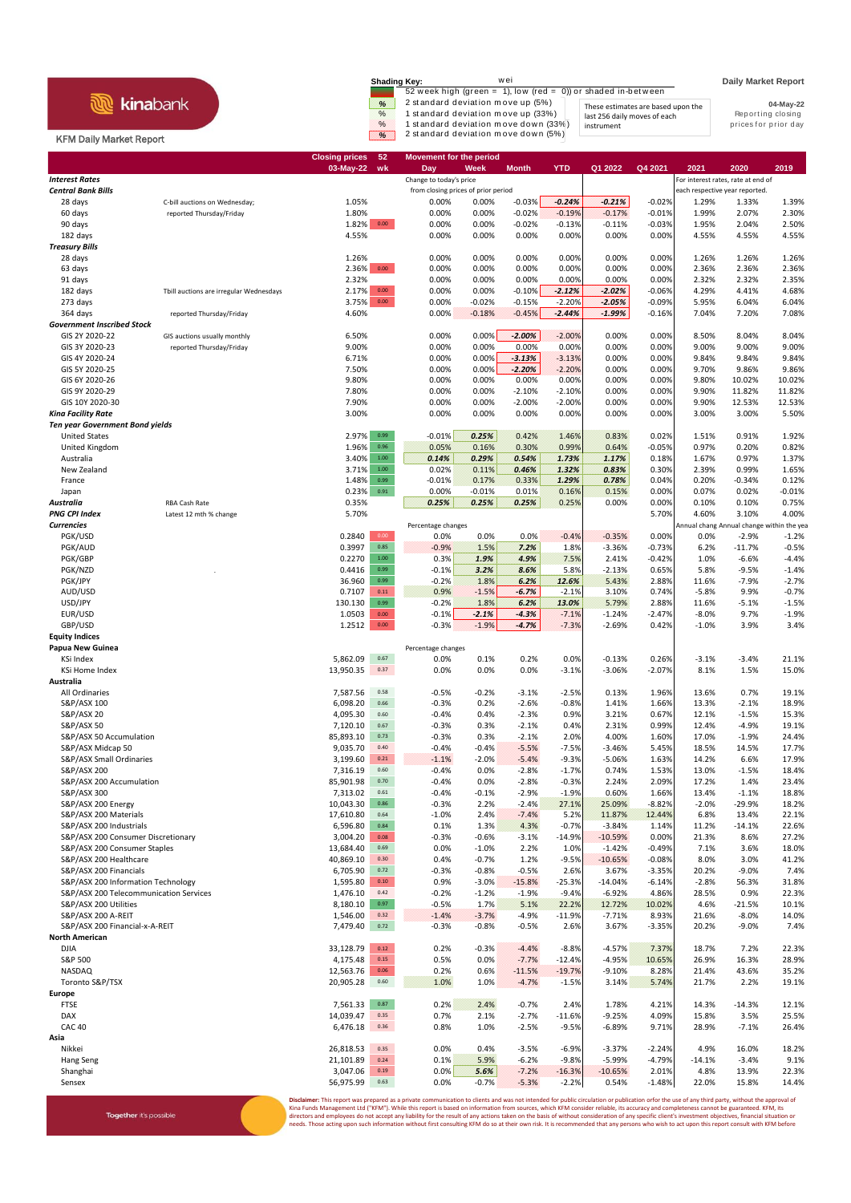## **R** kinabank

Together it's possible

## KFM Daily Market Report

| <b>Shading Key:</b>    | wei<br>52 week high (green $= 1$ ), low (red $= 0$ )) or shaded in-between                                                                             |                                                                                  | <b>Daily Market Report</b>                             |
|------------------------|--------------------------------------------------------------------------------------------------------------------------------------------------------|----------------------------------------------------------------------------------|--------------------------------------------------------|
| %<br>$\%$<br>$\%$<br>× | 2 standard deviation move up (5%)<br>1 standard deviation move up (33%)<br>1 standard deviation move down (33%)<br>2 standard deviation move down (5%) | These estimates are based upon the<br>last 256 daily moves of each<br>instrument | 04-May-22<br>Reporting closing<br>prices for prior day |

|                                                                    |                                         | <b>Closing prices</b> | 52                     | <b>Movement for the period</b>      |                    |                      |                      | Q1 2022               |                   |                  |                                            |                    |
|--------------------------------------------------------------------|-----------------------------------------|-----------------------|------------------------|-------------------------------------|--------------------|----------------------|----------------------|-----------------------|-------------------|------------------|--------------------------------------------|--------------------|
| <b>Interest Rates</b>                                              |                                         | 03-May-22             | wk                     | Day<br>Change to today's price      | Week               | Month                | <b>YTD</b>           |                       | Q4 2021           | 2021             | 2020<br>For interest rates, rate at end of | 2019               |
| <b>Central Bank Bills</b>                                          |                                         |                       |                        | from closing prices of prior period |                    |                      |                      |                       |                   |                  | each respective year reported.             |                    |
| 28 days                                                            | C-bill auctions on Wednesday;           | 1.05%                 |                        | 0.00%                               | 0.00%              | $-0.03%$             | $-0.24%$             | $-0.21%$              | $-0.02%$          | 1.29%            | 1.33%                                      | 1.39%              |
| 60 days                                                            | reported Thursday/Friday                | 1.80%                 |                        | 0.00%                               | 0.00%              | $-0.02%$             | $-0.19%$             | $-0.17%$              | $-0.01%$          | 1.99%            | 2.07%                                      | 2.30%              |
| 90 days                                                            |                                         | $1.82\%$ 0.00         |                        | 0.00%                               | 0.00%              | $-0.02%$             | $-0.13%$             | $-0.11%$              | $-0.03%$          | 1.95%            | 2.04%                                      | 2.50%              |
| 182 days                                                           |                                         | 4.55%                 |                        | 0.00%                               | 0.00%              | 0.00%                | 0.00%                | 0.00%                 | 0.00%             | 4.55%            | 4.55%                                      | 4.55%              |
| <b>Treasury Bills</b>                                              |                                         |                       |                        | 0.00%                               | 0.00%              | 0.00%                | 0.00%                | 0.00%                 | 0.00%             | 1.26%            | 1.26%                                      | 1.26%              |
| 28 days<br>63 days                                                 |                                         | 1.26%<br>2.36%        | $0.00\,$               | 0.00%                               | 0.00%              | 0.00%                | 0.00%                | 0.00%                 | 0.00%             | 2.36%            | 2.36%                                      | 2.36%              |
| 91 days                                                            |                                         | 2.32%                 |                        | 0.00%                               | 0.00%              | 0.00%                | 0.00%                | 0.00%                 | 0.00%             | 2.32%            | 2.32%                                      | 2.35%              |
| 182 days                                                           | Tbill auctions are irregular Wednesdays | 2.17%                 | $0.00\,$               | 0.00%                               | 0.00%              | $-0.10%$             | $-2.12%$             | $-2.02%$              | $-0.06%$          | 4.29%            | 4.41%                                      | 4.68%              |
| 273 days                                                           |                                         | 3.75%                 | $0.00\,$               | 0.00%                               | $-0.02%$           | $-0.15%$             | $-2.20%$             | $-2.05%$              | $-0.09%$          | 5.95%            | 6.04%                                      | 6.04%              |
| 364 days                                                           | reported Thursday/Friday                | 4.60%                 |                        | 0.00%                               | $-0.18%$           | $-0.45%$             | $-2.44%$             | $-1.99%$              | $-0.16%$          | 7.04%            | 7.20%                                      | 7.08%              |
| <b>Government Inscribed Stock</b>                                  |                                         |                       |                        |                                     |                    |                      |                      |                       |                   |                  |                                            |                    |
| GIS 2Y 2020-22                                                     | GIS auctions usually monthly            | 6.50%                 |                        | 0.00%                               | 0.00%              | $-2.00%$             | $-2.00%$             | 0.00%                 | 0.00%             | 8.50%            | 8.04%                                      | 8.04%              |
| GIS 3Y 2020-23<br>GIS 4Y 2020-24                                   | reported Thursday/Friday                | 9.00%                 |                        | 0.00%                               | 0.00%              | 0.00%                | 0.00%                | 0.00%                 | 0.00%             | 9.00%            | 9.00%                                      | 9.00%              |
| GIS 5Y 2020-25                                                     |                                         | 6.71%<br>7.50%        |                        | 0.00%<br>0.00%                      | 0.00%<br>0.00%     | $-3.13%$<br>$-2.20%$ | $-3.13%$<br>$-2.20%$ | 0.00%<br>0.00%        | 0.00%<br>0.00%    | 9.84%<br>9.70%   | 9.84%<br>9.86%                             | 9.84%<br>9.86%     |
| GIS 6Y 2020-26                                                     |                                         | 9.80%                 |                        | 0.00%                               | 0.00%              | 0.00%                | 0.00%                | 0.00%                 | 0.00%             | 9.80%            | 10.02%                                     | 10.02%             |
| GIS 9Y 2020-29                                                     |                                         | 7.80%                 |                        | 0.00%                               | 0.00%              | $-2.10%$             | $-2.10%$             | 0.00%                 | 0.00%             | 9.90%            | 11.82%                                     | 11.82%             |
| GIS 10Y 2020-30                                                    |                                         | 7.90%                 |                        | 0.00%                               | 0.00%              | $-2.00%$             | $-2.00%$             | 0.00%                 | 0.00%             | 9.90%            | 12.53%                                     | 12.53%             |
| Kina Facility Rate                                                 |                                         | 3.00%                 |                        | 0.00%                               | 0.00%              | 0.00%                | 0.00%                | 0.00%                 | 0.00%             | 3.00%            | 3.00%                                      | 5.50%              |
| <b>Ten year Government Bond yields</b>                             |                                         |                       |                        |                                     |                    |                      |                      |                       |                   |                  |                                            |                    |
| <b>United States</b>                                               |                                         | 2.97%                 | 0.99                   | $-0.01%$                            | 0.25%              | 0.42%                | 1.46%                | 0.83%                 | 0.02%             | 1.51%            | 0.91%                                      | 1.92%              |
| United Kingdom                                                     |                                         | 1.96%                 | 0.96                   | 0.05%                               | 0.16%              | 0.30%                | 0.99%                | 0.64%                 | $-0.05%$          | 0.97%            | 0.20%                                      | 0.82%              |
| Australia                                                          |                                         | 3.40%                 | 1.00                   | 0.14%                               | 0.29%              | 0.54%                | 1.73%                | 1.17%                 | 0.18%             | 1.67%            | 0.97%                                      | 1.37%              |
| New Zealand                                                        |                                         | 3.71%                 | $1.00\,$               | 0.02%                               | 0.11%              | 0.46%                | 1.32%                | 0.83%                 | 0.30%             | 2.39%            | 0.99%                                      | 1.65%              |
| France<br>Japan                                                    |                                         | 1.48%<br>0.23%        | 0.99<br>0.91           | $-0.01%$<br>0.00%                   | 0.17%<br>$-0.01%$  | 0.33%<br>0.01%       | 1.29%<br>0.16%       | 0.78%<br>0.15%        | 0.04%<br>0.00%    | 0.20%<br>0.07%   | $-0.34%$<br>0.02%                          | 0.12%<br>$-0.01%$  |
| Australia                                                          | RBA Cash Rate                           | 0.35%                 |                        | 0.25%                               | 0.25%              | 0.25%                | 0.25%                | 0.00%                 | 0.00%             | 0.10%            | 0.10%                                      | 0.75%              |
| <b>PNG CPI Index</b>                                               | Latest 12 mth % change                  | 5.70%                 |                        |                                     |                    |                      |                      |                       | 5.70%             | 4.60%            | 3.10%                                      | 4.00%              |
| <b>Currencies</b>                                                  |                                         |                       |                        | Percentage changes                  |                    |                      |                      |                       |                   |                  | Annual chang Annual change within the yea  |                    |
| PGK/USD                                                            |                                         | 0.2840                | 0.00                   | 0.0%                                | 0.0%               | 0.0%                 | $-0.4%$              | $-0.35%$              | 0.00%             | 0.0%             | $-2.9%$                                    | $-1.2%$            |
| PGK/AUD                                                            |                                         | 0.3997                | 0.85                   | $-0.9%$                             | 1.5%               | 7.2%                 | 1.8%                 | $-3.36%$              | $-0.73%$          | 6.2%             | $-11.7%$                                   | $-0.5%$            |
| PGK/GBP                                                            |                                         | 0.2270                | $1.00\,$               | 0.3%                                | 1.9%               | 4.9%                 | 7.5%                 | 2.41%                 | $-0.42%$          | 1.0%             | $-6.6%$                                    | $-4.4%$            |
| PGK/NZD                                                            |                                         | 0.4416                | 0.99                   | $-0.1%$                             | 3.2%               | 8.6%                 | 5.8%                 | $-2.13%$              | 0.65%             | 5.8%             | $-9.5%$                                    | $-1.4%$            |
| PGK/JPY                                                            |                                         | 36.960                | 0.99                   | $-0.2%$                             | 1.8%               | 6.2%                 | 12.6%                | 5.43%                 | 2.88%             | 11.6%            | $-7.9%$                                    | $-2.7%$            |
| AUD/USD                                                            |                                         | 0.7107                | 0.11<br>0.99           | 0.9%                                | $-1.5%$            | $-6.7%$              | $-2.1%$              | 3.10%                 | 0.74%             | $-5.8%$          | 9.9%                                       | $-0.7%$            |
| USD/JPY<br>EUR/USD                                                 |                                         | 130.130<br>1.0503     | $0.00\,$               | $-0.2%$<br>$-0.1%$                  | 1.8%<br>$-2.1%$    | 6.2%<br>$-4.3%$      | 13.0%<br>$-7.1%$     | 5.79%<br>$-1.24%$     | 2.88%<br>$-2.47%$ | 11.6%<br>$-8.0%$ | $-5.1%$<br>9.7%                            | $-1.5%$<br>$-1.9%$ |
| GBP/USD                                                            |                                         | 1.2512                | $0.00\,$               | $-0.3%$                             | $-1.9%$            | $-4.7%$              | $-7.3%$              | $-2.69%$              | 0.42%             | $-1.0%$          | 3.9%                                       | 3.4%               |
| <b>Equity Indices</b>                                              |                                         |                       |                        |                                     |                    |                      |                      |                       |                   |                  |                                            |                    |
| Papua New Guinea                                                   |                                         |                       |                        | Percentage changes                  |                    |                      |                      |                       |                   |                  |                                            |                    |
| KSi Index                                                          |                                         | 5,862.09              | 0.67                   | 0.0%                                | 0.1%               | 0.2%                 | 0.0%                 | $-0.13%$              | 0.26%             | $-3.1%$          | $-3.4%$                                    | 21.1%              |
| <b>KSi Home Index</b>                                              |                                         | 13,950.35             | 0.37                   | 0.0%                                | 0.0%               | 0.0%                 | $-3.1%$              | $-3.06%$              | $-2.07%$          | 8.1%             | 1.5%                                       | 15.0%              |
| Australia                                                          |                                         |                       |                        |                                     |                    |                      |                      |                       |                   |                  |                                            |                    |
| All Ordinaries                                                     |                                         | 7,587.56              | 0.58                   | $-0.5%$                             | $-0.2%$            | $-3.1%$              | $-2.5%$              | 0.13%                 | 1.96%             | 13.6%            | 0.7%                                       | 19.1%              |
| S&P/ASX 100                                                        |                                         | 6,098.20              | 0.66                   | $-0.3%$                             | 0.2%               | $-2.6%$              | $-0.8%$              | 1.41%                 | 1.66%             | 13.3%            | $-2.1%$                                    | 18.9%              |
| S&P/ASX 20<br>S&P/ASX 50                                           |                                         | 4,095.30<br>7,120.10  | 0.60<br>0.67           | $-0.4%$<br>$-0.3%$                  | 0.4%<br>0.3%       | $-2.3%$<br>$-2.1%$   | 0.9%<br>0.4%         | 3.21%<br>2.31%        | 0.67%<br>0.99%    | 12.1%<br>12.4%   | $-1.5%$<br>$-4.9%$                         | 15.3%<br>19.1%     |
| S&P/ASX 50 Accumulation                                            |                                         | 85,893.10             | 0.73                   | $-0.3%$                             | 0.3%               | $-2.1%$              | 2.0%                 | 4.00%                 | 1.60%             | 17.0%            | $-1.9%$                                    | 24.4%              |
| S&P/ASX Midcap 50                                                  |                                         | 9,035.70              | 0.40                   | $-0.4%$                             | $-0.4%$            | $-5.5%$              | $-7.5%$              | $-3.46%$              | 5.45%             | 18.5%            | 14.5%                                      | 17.7%              |
| S&P/ASX Small Ordinaries                                           |                                         | 3,199.60              | 0.21                   | $-1.1%$                             | $-2.0%$            | $-5.4%$              | $-9.3%$              | -5.06%                | 1.63%             | 14.2%            | 6.6%                                       | 17.9%              |
| S&P/ASX 200                                                        |                                         | 7,316.19              | 0.60                   | $-0.4%$                             | 0.0%               | $-2.8%$              | $-1.7%$              | 0.74%                 | 1.53%             | 13.0%            | $-1.5%$                                    | 18.4%              |
| S&P/ASX 200 Accumulation                                           |                                         | 85,901.98             | 0.70                   | $-0.4%$                             | 0.0%               | $-2.8%$              | $-0.3%$              | 2.24%                 | 2.09%             | 17.2%            | 1.4%                                       | 23.4%              |
| S&P/ASX 300                                                        |                                         | 7,313.02              | 0.61                   | $-0.4%$                             | $-0.1%$            | $-2.9%$              | $-1.9%$              | 0.60%                 | 1.66%             | 13.4%            | $-1.1%$                                    | 18.8%              |
| S&P/ASX 200 Energy                                                 |                                         | 10,043.30             | 0.86                   | $-0.3%$                             | 2.2%               | $-2.4%$              | 27.1%                | 25.09%                | $-8.82%$          | $-2.0%$          | $-29.9%$                                   | 18.2%              |
| S&P/ASX 200 Materials                                              |                                         | 17,610.80             | 0.64                   | $-1.0%$                             | 2.4%               | $-7.4%$              | 5.2%                 | 11.87%                | 12.44%            | 6.8%             | 13.4%                                      | 22.1%              |
| S&P/ASX 200 Industrials                                            |                                         | 6,596.80              | $\bf 0.84$<br>$0.08\,$ | 0.1%                                | 1.3%               | 4.3%                 | $-0.7%$              | $-3.84%$              | 1.14%             | 11.2%<br>21.3%   | $-14.1%$<br>8.6%                           | 22.6%              |
| S&P/ASX 200 Consumer Discretionary<br>S&P/ASX 200 Consumer Staples |                                         | 3,004.20<br>13,684.40 | 0.69                   | $-0.3%$<br>0.0%                     | $-0.6%$<br>$-1.0%$ | $-3.1%$<br>2.2%      | $-14.9%$<br>1.0%     | $-10.59%$<br>$-1.42%$ | 0.00%<br>$-0.49%$ | 7.1%             | 3.6%                                       | 27.2%<br>18.0%     |
| S&P/ASX 200 Healthcare                                             |                                         | 40,869.10             | 0.30                   | 0.4%                                | $-0.7%$            | 1.2%                 | $-9.5%$              | $-10.65%$             | $-0.08%$          | 8.0%             | 3.0%                                       | 41.2%              |
| S&P/ASX 200 Financials                                             |                                         | 6,705.90              | 0.72                   | -0.3%                               | $-0.8%$            | $-0.5%$              | 2.6%                 | 3.67%                 | $-3.35%$          | 20.2%            | $-9.0%$                                    | 7.4%               |
| S&P/ASX 200 Information Technology                                 |                                         | 1,595.80              | $0.10\,$               | 0.9%                                | $-3.0%$            | $-15.8%$             | $-25.3%$             | $-14.04%$             | $-6.14%$          | $-2.8%$          | 56.3%                                      | 31.8%              |
| S&P/ASX 200 Telecommunication Services                             |                                         | 1,476.10              | 0.42                   | $-0.2%$                             | $-1.2%$            | $-1.9%$              | $-9.4%$              | $-6.92%$              | 4.86%             | 28.5%            | 0.9%                                       | 22.3%              |
| S&P/ASX 200 Utilities                                              |                                         | 8,180.10              | 0.97                   | $-0.5%$                             | 1.7%               | 5.1%                 | 22.2%                | 12.72%                | 10.02%            | 4.6%             | $-21.5%$                                   | 10.1%              |
| S&P/ASX 200 A-REIT                                                 |                                         | 1,546.00              | 0.32                   | $-1.4%$                             | $-3.7%$            | $-4.9%$              | $-11.9%$             | $-7.71%$              | 8.93%             | 21.6%            | $-8.0%$                                    | 14.0%              |
| S&P/ASX 200 Financial-x-A-REIT                                     |                                         | 7,479.40              | 0.72                   | $-0.3%$                             | $-0.8%$            | $-0.5%$              | 2.6%                 | 3.67%                 | $-3.35%$          | 20.2%            | $-9.0%$                                    | 7.4%               |
| <b>North American</b>                                              |                                         |                       |                        |                                     |                    |                      |                      |                       |                   |                  |                                            |                    |
| <b>DJIA</b><br>S&P 500                                             |                                         | 33,128.79<br>4,175.48 | 0.12<br>0.15           | 0.2%<br>0.5%                        | $-0.3%$<br>0.0%    | $-4.4%$<br>$-7.7%$   | $-8.8%$<br>$-12.4%$  | $-4.57%$<br>$-4.95%$  | 7.37%<br>10.65%   | 18.7%<br>26.9%   | 7.2%<br>16.3%                              | 22.3%<br>28.9%     |
| NASDAQ                                                             |                                         | 12,563.76             | 0.06                   | 0.2%                                | 0.6%               | $-11.5%$             | $-19.7%$             | $-9.10%$              | 8.28%             | 21.4%            | 43.6%                                      | 35.2%              |
| Toronto S&P/TSX                                                    |                                         | 20,905.28             | 0.60                   | 1.0%                                | 1.0%               | $-4.7%$              | $-1.5%$              | 3.14%                 | 5.74%             | 21.7%            | 2.2%                                       | 19.1%              |
| Europe                                                             |                                         |                       |                        |                                     |                    |                      |                      |                       |                   |                  |                                            |                    |
| <b>FTSE</b>                                                        |                                         | 7,561.33              | 0.87                   | 0.2%                                | 2.4%               | $-0.7%$              | 2.4%                 | 1.78%                 | 4.21%             | 14.3%            | $-14.3%$                                   | 12.1%              |
| DAX                                                                |                                         | 14,039.47             | 0.35                   | 0.7%                                | 2.1%               | $-2.7%$              | $-11.6%$             | $-9.25%$              | 4.09%             | 15.8%            | 3.5%                                       | 25.5%              |
| <b>CAC 40</b>                                                      |                                         | 6,476.18              | 0.36                   | 0.8%                                | 1.0%               | $-2.5%$              | $-9.5%$              | $-6.89%$              | 9.71%             | 28.9%            | $-7.1%$                                    | 26.4%              |
| Asia                                                               |                                         |                       |                        |                                     |                    |                      |                      |                       |                   |                  |                                            |                    |
| Nikkei                                                             |                                         | 26,818.53             | 0.35                   | 0.0%                                | 0.4%               | $-3.5%$              | $-6.9%$              | $-3.37%$              | $-2.24%$          | 4.9%             | 16.0%                                      | 18.2%              |
| Hang Seng<br>Shanghai                                              |                                         | 21,101.89<br>3,047.06 | 0.24<br>0.19           | 0.1%<br>0.0%                        | 5.9%<br>5.6%       | $-6.2%$<br>$-7.2%$   | $-9.8%$<br>$-16.3%$  | $-5.99%$<br>$-10.65%$ | $-4.79%$<br>2.01% | $-14.1%$<br>4.8% | $-3.4%$<br>13.9%                           | 9.1%<br>22.3%      |
| Sensex                                                             |                                         | 56,975.99             | 0.63                   | 0.0%                                | $-0.7%$            | $-5.3%$              | $-2.2%$              | 0.54%                 | $-1.48%$          | 22.0%            | 15.8%                                      | 14.4%              |
|                                                                    |                                         |                       |                        |                                     |                    |                      |                      |                       |                   |                  |                                            |                    |

**Disclaimer**: This report was prepared as a private communication to clients and was not intended for public circulation or publication orfor the use of any third party, without the approval of<br>Kina Funds Management Ltd ("